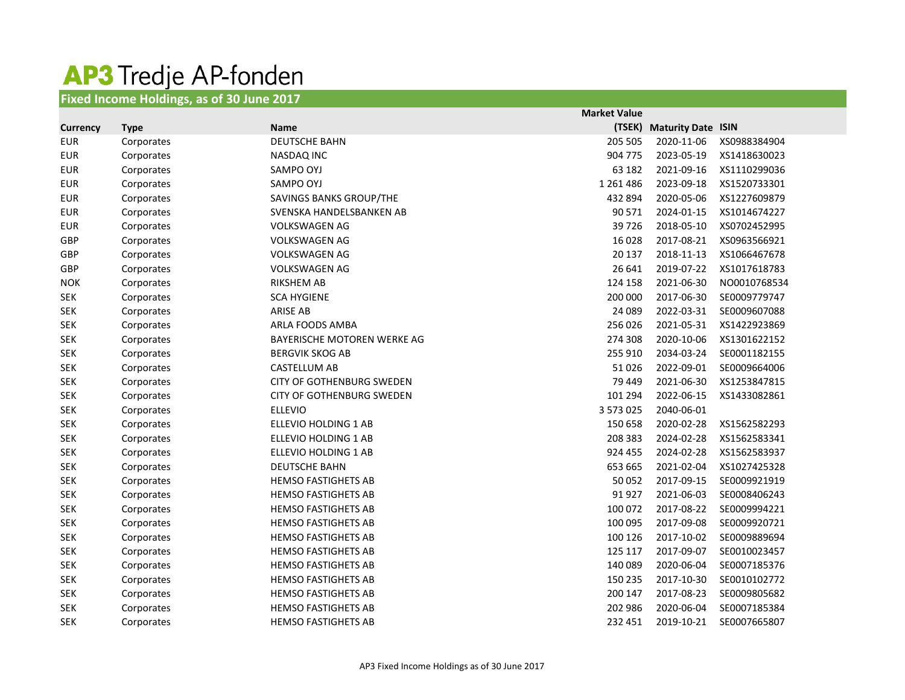## AP3 Tredje AP-fonden

## **Fixed Income Holdings, as of 30 June 2017**

|                 |             |                                  | <b>Market Value</b> |                           |              |
|-----------------|-------------|----------------------------------|---------------------|---------------------------|--------------|
| <b>Currency</b> | <b>Type</b> | <b>Name</b>                      | (TSEK)              | <b>Maturity Date ISIN</b> |              |
| <b>EUR</b>      | Corporates  | <b>DEUTSCHE BAHN</b>             | 205 505             | 2020-11-06                | XS0988384904 |
| <b>EUR</b>      | Corporates  | <b>NASDAQ INC</b>                | 904 775             | 2023-05-19                | XS1418630023 |
| <b>EUR</b>      | Corporates  | SAMPO OYJ                        | 63 182              | 2021-09-16                | XS1110299036 |
| <b>EUR</b>      | Corporates  | SAMPO OYJ                        | 1 2 6 1 4 8 6       | 2023-09-18                | XS1520733301 |
| <b>EUR</b>      | Corporates  | SAVINGS BANKS GROUP/THE          | 432 894             | 2020-05-06                | XS1227609879 |
| <b>EUR</b>      | Corporates  | SVENSKA HANDELSBANKEN AB         | 90 571              | 2024-01-15                | XS1014674227 |
| <b>EUR</b>      | Corporates  | <b>VOLKSWAGEN AG</b>             | 39726               | 2018-05-10                | XS0702452995 |
| <b>GBP</b>      | Corporates  | <b>VOLKSWAGEN AG</b>             | 16 0 28             | 2017-08-21                | XS0963566921 |
| <b>GBP</b>      | Corporates  | <b>VOLKSWAGEN AG</b>             | 20 137              | 2018-11-13                | XS1066467678 |
| <b>GBP</b>      | Corporates  | <b>VOLKSWAGEN AG</b>             | 26 641              | 2019-07-22                | XS1017618783 |
| <b>NOK</b>      | Corporates  | <b>RIKSHEM AB</b>                | 124 158             | 2021-06-30                | NO0010768534 |
| <b>SEK</b>      | Corporates  | <b>SCA HYGIENE</b>               | 200 000             | 2017-06-30                | SE0009779747 |
| <b>SEK</b>      | Corporates  | <b>ARISE AB</b>                  | 24 089              | 2022-03-31                | SE0009607088 |
| <b>SEK</b>      | Corporates  | ARLA FOODS AMBA                  | 256 026             | 2021-05-31                | XS1422923869 |
| <b>SEK</b>      | Corporates  | BAYERISCHE MOTOREN WERKE AG      | 274 308             | 2020-10-06                | XS1301622152 |
| <b>SEK</b>      | Corporates  | <b>BERGVIK SKOG AB</b>           | 255 910             | 2034-03-24                | SE0001182155 |
| <b>SEK</b>      | Corporates  | <b>CASTELLUM AB</b>              | 51026               | 2022-09-01                | SE0009664006 |
| <b>SEK</b>      | Corporates  | <b>CITY OF GOTHENBURG SWEDEN</b> | 79 449              | 2021-06-30                | XS1253847815 |
| <b>SEK</b>      | Corporates  | CITY OF GOTHENBURG SWEDEN        | 101 294             | 2022-06-15                | XS1433082861 |
| <b>SEK</b>      | Corporates  | <b>ELLEVIO</b>                   | 3 573 025           | 2040-06-01                |              |
| <b>SEK</b>      | Corporates  | ELLEVIO HOLDING 1 AB             | 150 658             | 2020-02-28                | XS1562582293 |
| <b>SEK</b>      | Corporates  | ELLEVIO HOLDING 1 AB             | 208 383             | 2024-02-28                | XS1562583341 |
| <b>SEK</b>      | Corporates  | ELLEVIO HOLDING 1 AB             | 924 455             | 2024-02-28                | XS1562583937 |
| <b>SEK</b>      | Corporates  | <b>DEUTSCHE BAHN</b>             | 653 665             | 2021-02-04                | XS1027425328 |
| <b>SEK</b>      | Corporates  | <b>HEMSO FASTIGHETS AB</b>       | 50 052              | 2017-09-15                | SE0009921919 |
| <b>SEK</b>      | Corporates  | <b>HEMSO FASTIGHETS AB</b>       | 91927               | 2021-06-03                | SE0008406243 |
| <b>SEK</b>      | Corporates  | <b>HEMSO FASTIGHETS AB</b>       | 100 072             | 2017-08-22                | SE0009994221 |
| <b>SEK</b>      | Corporates  | <b>HEMSO FASTIGHETS AB</b>       | 100 095             | 2017-09-08                | SE0009920721 |
| <b>SEK</b>      | Corporates  | <b>HEMSO FASTIGHETS AB</b>       | 100 126             | 2017-10-02                | SE0009889694 |
| <b>SEK</b>      | Corporates  | <b>HEMSO FASTIGHETS AB</b>       | 125 117             | 2017-09-07                | SE0010023457 |
| <b>SEK</b>      | Corporates  | <b>HEMSO FASTIGHETS AB</b>       | 140 089             | 2020-06-04                | SE0007185376 |
| <b>SEK</b>      | Corporates  | <b>HEMSO FASTIGHETS AB</b>       | 150 235             | 2017-10-30                | SE0010102772 |
| <b>SEK</b>      | Corporates  | <b>HEMSO FASTIGHETS AB</b>       | 200 147             | 2017-08-23                | SE0009805682 |
| <b>SEK</b>      | Corporates  | <b>HEMSO FASTIGHETS AB</b>       | 202 986             | 2020-06-04                | SE0007185384 |
| <b>SEK</b>      | Corporates  | <b>HEMSO FASTIGHETS AB</b>       | 232 451             | 2019-10-21                | SE0007665807 |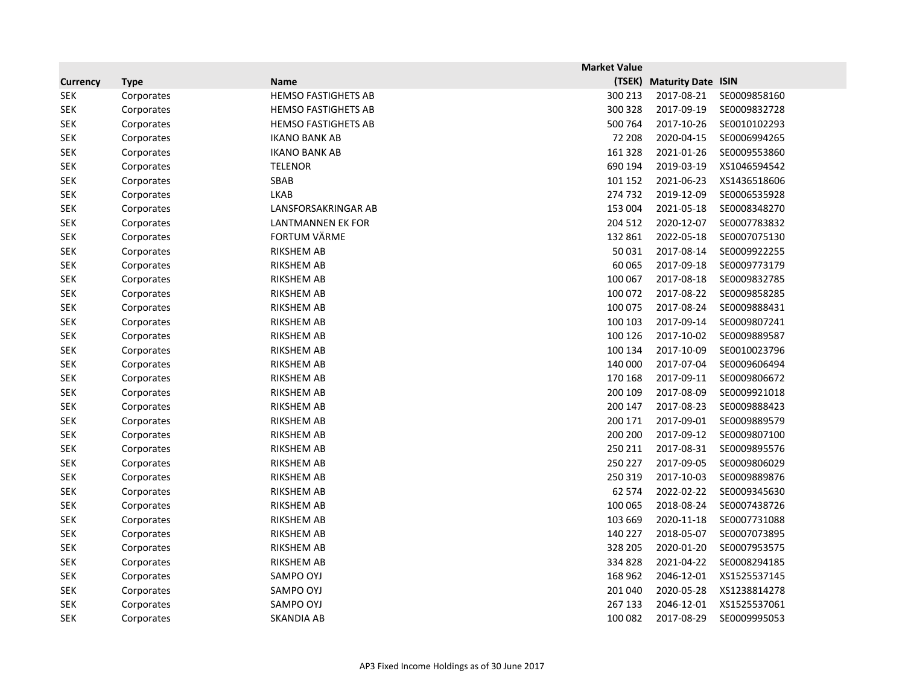|                 |             |                            | <b>Market Value</b> |                           |              |
|-----------------|-------------|----------------------------|---------------------|---------------------------|--------------|
| <b>Currency</b> | <b>Type</b> | <b>Name</b>                | (TSEK)              | <b>Maturity Date ISIN</b> |              |
| <b>SEK</b>      | Corporates  | <b>HEMSO FASTIGHETS AB</b> | 300 213             | 2017-08-21                | SE0009858160 |
| <b>SEK</b>      | Corporates  | <b>HEMSO FASTIGHETS AB</b> | 300 328             | 2017-09-19                | SE0009832728 |
| <b>SEK</b>      | Corporates  | <b>HEMSO FASTIGHETS AB</b> | 500 764             | 2017-10-26                | SE0010102293 |
| <b>SEK</b>      | Corporates  | <b>IKANO BANK AB</b>       | 72 208              | 2020-04-15                | SE0006994265 |
| <b>SEK</b>      | Corporates  | <b>IKANO BANK AB</b>       | 161 328             | 2021-01-26                | SE0009553860 |
| <b>SEK</b>      | Corporates  | <b>TELENOR</b>             | 690 194             | 2019-03-19                | XS1046594542 |
| <b>SEK</b>      | Corporates  | SBAB                       | 101 152             | 2021-06-23                | XS1436518606 |
| <b>SEK</b>      | Corporates  | <b>LKAB</b>                | 274 732             | 2019-12-09                | SE0006535928 |
| <b>SEK</b>      | Corporates  | LANSFORSAKRINGAR AB        | 153 004             | 2021-05-18                | SE0008348270 |
| <b>SEK</b>      | Corporates  | <b>LANTMANNEN EK FOR</b>   | 204 512             | 2020-12-07                | SE0007783832 |
| <b>SEK</b>      | Corporates  | <b>FORTUM VÄRME</b>        | 132 861             | 2022-05-18                | SE0007075130 |
| <b>SEK</b>      | Corporates  | <b>RIKSHEM AB</b>          | 50 031              | 2017-08-14                | SE0009922255 |
| <b>SEK</b>      | Corporates  | <b>RIKSHEM AB</b>          | 60 065              | 2017-09-18                | SE0009773179 |
| <b>SEK</b>      | Corporates  | <b>RIKSHEM AB</b>          | 100 067             | 2017-08-18                | SE0009832785 |
| <b>SEK</b>      | Corporates  | <b>RIKSHEM AB</b>          | 100 072             | 2017-08-22                | SE0009858285 |
| <b>SEK</b>      | Corporates  | <b>RIKSHEM AB</b>          | 100 075             | 2017-08-24                | SE0009888431 |
| <b>SEK</b>      | Corporates  | <b>RIKSHEM AB</b>          | 100 103             | 2017-09-14                | SE0009807241 |
| <b>SEK</b>      | Corporates  | <b>RIKSHEM AB</b>          | 100 126             | 2017-10-02                | SE0009889587 |
| <b>SEK</b>      | Corporates  | <b>RIKSHEM AB</b>          | 100 134             | 2017-10-09                | SE0010023796 |
| <b>SEK</b>      | Corporates  | <b>RIKSHEM AB</b>          | 140 000             | 2017-07-04                | SE0009606494 |
| <b>SEK</b>      | Corporates  | <b>RIKSHEM AB</b>          | 170 168             | 2017-09-11                | SE0009806672 |
| <b>SEK</b>      | Corporates  | <b>RIKSHEM AB</b>          | 200 109             | 2017-08-09                | SE0009921018 |
| <b>SEK</b>      | Corporates  | <b>RIKSHEM AB</b>          | 200 147             | 2017-08-23                | SE0009888423 |
| <b>SEK</b>      | Corporates  | <b>RIKSHEM AB</b>          | 200 171             | 2017-09-01                | SE0009889579 |
| <b>SEK</b>      | Corporates  | <b>RIKSHEM AB</b>          | 200 200             | 2017-09-12                | SE0009807100 |
| <b>SEK</b>      | Corporates  | <b>RIKSHEM AB</b>          | 250 211             | 2017-08-31                | SE0009895576 |
| <b>SEK</b>      | Corporates  | <b>RIKSHEM AB</b>          | 250 227             | 2017-09-05                | SE0009806029 |
| <b>SEK</b>      | Corporates  | <b>RIKSHEM AB</b>          | 250 319             | 2017-10-03                | SE0009889876 |
| <b>SEK</b>      | Corporates  | <b>RIKSHEM AB</b>          | 62 574              | 2022-02-22                | SE0009345630 |
| <b>SEK</b>      | Corporates  | <b>RIKSHEM AB</b>          | 100 065             | 2018-08-24                | SE0007438726 |
| <b>SEK</b>      | Corporates  | <b>RIKSHEM AB</b>          | 103 669             | 2020-11-18                | SE0007731088 |
| <b>SEK</b>      | Corporates  | <b>RIKSHEM AB</b>          | 140 227             | 2018-05-07                | SE0007073895 |
| <b>SEK</b>      | Corporates  | <b>RIKSHEM AB</b>          | 328 205             | 2020-01-20                | SE0007953575 |
| <b>SEK</b>      | Corporates  | <b>RIKSHEM AB</b>          | 334 828             | 2021-04-22                | SE0008294185 |
| <b>SEK</b>      | Corporates  | SAMPO OYJ                  | 168 962             | 2046-12-01                | XS1525537145 |
| <b>SEK</b>      | Corporates  | SAMPO OYJ                  | 201 040             | 2020-05-28                | XS1238814278 |
| <b>SEK</b>      | Corporates  | SAMPO OYJ                  | 267 133             | 2046-12-01                | XS1525537061 |
| <b>SEK</b>      | Corporates  | SKANDIA AB                 | 100 082             | 2017-08-29                | SE0009995053 |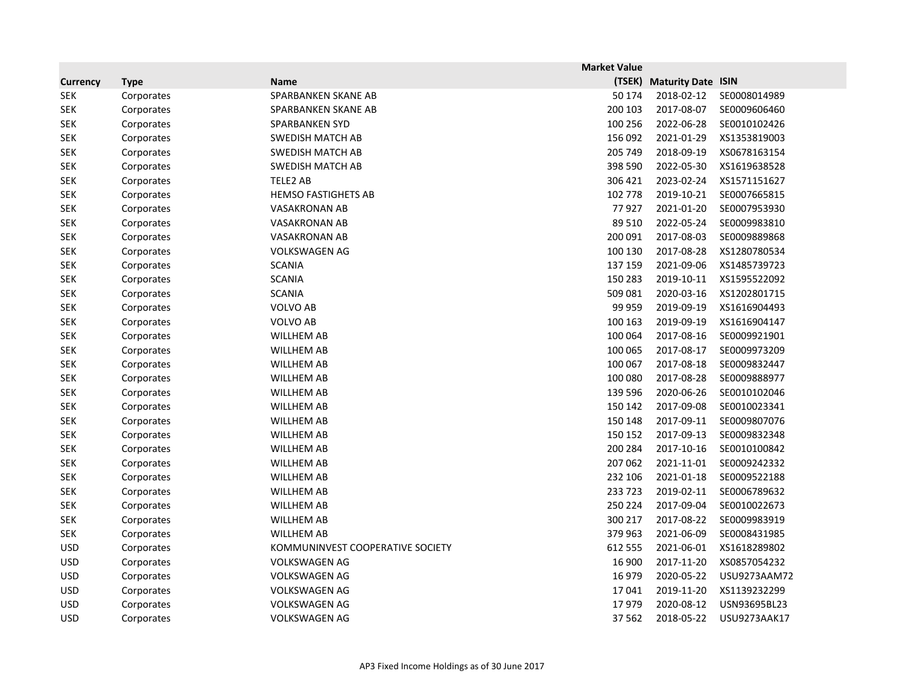|                 |             |                                  | <b>Market Value</b> |                           |              |
|-----------------|-------------|----------------------------------|---------------------|---------------------------|--------------|
| <b>Currency</b> | <b>Type</b> | <b>Name</b>                      | (TSEK)              | <b>Maturity Date ISIN</b> |              |
| <b>SEK</b>      | Corporates  | SPARBANKEN SKANE AB              | 50 174              | 2018-02-12                | SE0008014989 |
| <b>SEK</b>      | Corporates  | SPARBANKEN SKANE AB              | 200 103             | 2017-08-07                | SE0009606460 |
| <b>SEK</b>      | Corporates  | <b>SPARBANKEN SYD</b>            | 100 256             | 2022-06-28                | SE0010102426 |
| <b>SEK</b>      | Corporates  | <b>SWEDISH MATCH AB</b>          | 156 092             | 2021-01-29                | XS1353819003 |
| <b>SEK</b>      | Corporates  | <b>SWEDISH MATCH AB</b>          | 205 749             | 2018-09-19                | XS0678163154 |
| <b>SEK</b>      | Corporates  | <b>SWEDISH MATCH AB</b>          | 398 590             | 2022-05-30                | XS1619638528 |
| <b>SEK</b>      | Corporates  | TELE2 AB                         | 306 421             | 2023-02-24                | XS1571151627 |
| <b>SEK</b>      | Corporates  | <b>HEMSO FASTIGHETS AB</b>       | 102 778             | 2019-10-21                | SE0007665815 |
| <b>SEK</b>      | Corporates  | <b>VASAKRONAN AB</b>             | 77927               | 2021-01-20                | SE0007953930 |
| <b>SEK</b>      | Corporates  | VASAKRONAN AB                    | 89 510              | 2022-05-24                | SE0009983810 |
| <b>SEK</b>      | Corporates  | <b>VASAKRONAN AB</b>             | 200 091             | 2017-08-03                | SE0009889868 |
| <b>SEK</b>      | Corporates  | <b>VOLKSWAGEN AG</b>             | 100 130             | 2017-08-28                | XS1280780534 |
| <b>SEK</b>      | Corporates  | <b>SCANIA</b>                    | 137 159             | 2021-09-06                | XS1485739723 |
| <b>SEK</b>      | Corporates  | <b>SCANIA</b>                    | 150 283             | 2019-10-11                | XS1595522092 |
| <b>SEK</b>      | Corporates  | <b>SCANIA</b>                    | 509 081             | 2020-03-16                | XS1202801715 |
| <b>SEK</b>      | Corporates  | <b>VOLVO AB</b>                  | 99 959              | 2019-09-19                | XS1616904493 |
| <b>SEK</b>      | Corporates  | <b>VOLVO AB</b>                  | 100 163             | 2019-09-19                | XS1616904147 |
| <b>SEK</b>      | Corporates  | <b>WILLHEM AB</b>                | 100 064             | 2017-08-16                | SE0009921901 |
| <b>SEK</b>      | Corporates  | <b>WILLHEM AB</b>                | 100 065             | 2017-08-17                | SE0009973209 |
| <b>SEK</b>      | Corporates  | <b>WILLHEM AB</b>                | 100 067             | 2017-08-18                | SE0009832447 |
| <b>SEK</b>      | Corporates  | <b>WILLHEM AB</b>                | 100 080             | 2017-08-28                | SE0009888977 |
| <b>SEK</b>      | Corporates  | <b>WILLHEM AB</b>                | 139 596             | 2020-06-26                | SE0010102046 |
| <b>SEK</b>      | Corporates  | <b>WILLHEM AB</b>                | 150 142             | 2017-09-08                | SE0010023341 |
| <b>SEK</b>      | Corporates  | <b>WILLHEM AB</b>                | 150 148             | 2017-09-11                | SE0009807076 |
| <b>SEK</b>      | Corporates  | <b>WILLHEM AB</b>                | 150 152             | 2017-09-13                | SE0009832348 |
| <b>SEK</b>      | Corporates  | <b>WILLHEM AB</b>                | 200 284             | 2017-10-16                | SE0010100842 |
| <b>SEK</b>      | Corporates  | <b>WILLHEM AB</b>                | 207 062             | 2021-11-01                | SE0009242332 |
| <b>SEK</b>      | Corporates  | <b>WILLHEM AB</b>                | 232 106             | 2021-01-18                | SE0009522188 |
| <b>SEK</b>      | Corporates  | <b>WILLHEM AB</b>                | 233 723             | 2019-02-11                | SE0006789632 |
| <b>SEK</b>      | Corporates  | <b>WILLHEM AB</b>                | 250 224             | 2017-09-04                | SE0010022673 |
| <b>SEK</b>      | Corporates  | <b>WILLHEM AB</b>                | 300 217             | 2017-08-22                | SE0009983919 |
| <b>SEK</b>      | Corporates  | <b>WILLHEM AB</b>                | 379 963             | 2021-06-09                | SE0008431985 |
| <b>USD</b>      | Corporates  | KOMMUNINVEST COOPERATIVE SOCIETY | 612 555             | 2021-06-01                | XS1618289802 |
| <b>USD</b>      | Corporates  | <b>VOLKSWAGEN AG</b>             | 16 900              | 2017-11-20                | XS0857054232 |
| <b>USD</b>      | Corporates  | <b>VOLKSWAGEN AG</b>             | 16 979              | 2020-05-22                | USU9273AAM72 |
| <b>USD</b>      | Corporates  | <b>VOLKSWAGEN AG</b>             | 17041               | 2019-11-20                | XS1139232299 |
| <b>USD</b>      | Corporates  | <b>VOLKSWAGEN AG</b>             | 17979               | 2020-08-12                | USN93695BL23 |
| <b>USD</b>      | Corporates  | <b>VOLKSWAGEN AG</b>             | 37 562              | 2018-05-22                | USU9273AAK17 |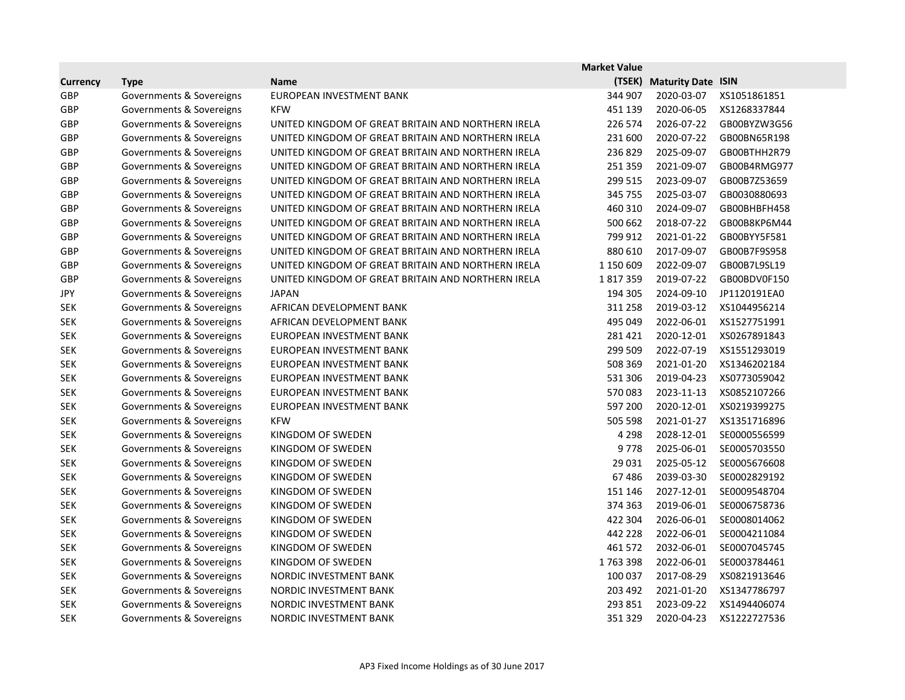|                 |                          |                                                    | <b>Market Value</b> |                           |              |
|-----------------|--------------------------|----------------------------------------------------|---------------------|---------------------------|--------------|
| <b>Currency</b> | <b>Type</b>              | <b>Name</b>                                        |                     | (TSEK) Maturity Date ISIN |              |
| <b>GBP</b>      | Governments & Sovereigns | EUROPEAN INVESTMENT BANK                           | 344 907             | 2020-03-07                | XS1051861851 |
| GBP             | Governments & Sovereigns | <b>KFW</b>                                         | 451 139             | 2020-06-05                | XS1268337844 |
| GBP             | Governments & Sovereigns | UNITED KINGDOM OF GREAT BRITAIN AND NORTHERN IRELA | 226 574             | 2026-07-22                | GB00BYZW3G56 |
| <b>GBP</b>      | Governments & Sovereigns | UNITED KINGDOM OF GREAT BRITAIN AND NORTHERN IRELA | 231 600             | 2020-07-22                | GB00BN65R198 |
| GBP             | Governments & Sovereigns | UNITED KINGDOM OF GREAT BRITAIN AND NORTHERN IRELA | 236829              | 2025-09-07                | GB00BTHH2R79 |
| <b>GBP</b>      | Governments & Sovereigns | UNITED KINGDOM OF GREAT BRITAIN AND NORTHERN IRELA | 251 359             | 2021-09-07                | GB00B4RMG977 |
| GBP             | Governments & Sovereigns | UNITED KINGDOM OF GREAT BRITAIN AND NORTHERN IRELA | 299 515             | 2023-09-07                | GB00B7Z53659 |
| GBP             | Governments & Sovereigns | UNITED KINGDOM OF GREAT BRITAIN AND NORTHERN IRELA | 345 755             | 2025-03-07                | GB0030880693 |
| <b>GBP</b>      | Governments & Sovereigns | UNITED KINGDOM OF GREAT BRITAIN AND NORTHERN IRELA | 460 310             | 2024-09-07                | GB00BHBFH458 |
| GBP             | Governments & Sovereigns | UNITED KINGDOM OF GREAT BRITAIN AND NORTHERN IRELA | 500 662             | 2018-07-22                | GB00B8KP6M44 |
| GBP             | Governments & Sovereigns | UNITED KINGDOM OF GREAT BRITAIN AND NORTHERN IRELA | 799 912             | 2021-01-22                | GB00BYY5F581 |
| <b>GBP</b>      | Governments & Sovereigns | UNITED KINGDOM OF GREAT BRITAIN AND NORTHERN IRELA | 880 610             | 2017-09-07                | GB00B7F9S958 |
| GBP             | Governments & Sovereigns | UNITED KINGDOM OF GREAT BRITAIN AND NORTHERN IRELA | 1 150 609           | 2022-09-07                | GB00B7L9SL19 |
| <b>GBP</b>      | Governments & Sovereigns | UNITED KINGDOM OF GREAT BRITAIN AND NORTHERN IRELA | 1817359             | 2019-07-22                | GB00BDV0F150 |
| <b>JPY</b>      | Governments & Sovereigns | <b>JAPAN</b>                                       | 194 305             | 2024-09-10                | JP1120191EA0 |
| <b>SEK</b>      | Governments & Sovereigns | AFRICAN DEVELOPMENT BANK                           | 311 258             | 2019-03-12                | XS1044956214 |
| <b>SEK</b>      | Governments & Sovereigns | AFRICAN DEVELOPMENT BANK                           | 495 049             | 2022-06-01                | XS1527751991 |
| <b>SEK</b>      | Governments & Sovereigns | EUROPEAN INVESTMENT BANK                           | 281 421             | 2020-12-01                | XS0267891843 |
| <b>SEK</b>      | Governments & Sovereigns | EUROPEAN INVESTMENT BANK                           | 299 509             | 2022-07-19                | XS1551293019 |
| <b>SEK</b>      | Governments & Sovereigns | EUROPEAN INVESTMENT BANK                           | 508 369             | 2021-01-20                | XS1346202184 |
| <b>SEK</b>      | Governments & Sovereigns | EUROPEAN INVESTMENT BANK                           | 531 306             | 2019-04-23                | XS0773059042 |
| <b>SEK</b>      | Governments & Sovereigns | EUROPEAN INVESTMENT BANK                           | 570083              | 2023-11-13                | XS0852107266 |
| <b>SEK</b>      | Governments & Sovereigns | EUROPEAN INVESTMENT BANK                           | 597 200             | 2020-12-01                | XS0219399275 |
| <b>SEK</b>      | Governments & Sovereigns | <b>KFW</b>                                         | 505 598             | 2021-01-27                | XS1351716896 |
| <b>SEK</b>      | Governments & Sovereigns | KINGDOM OF SWEDEN                                  | 4 2 9 8             | 2028-12-01                | SE0000556599 |
| <b>SEK</b>      | Governments & Sovereigns | KINGDOM OF SWEDEN                                  | 9778                | 2025-06-01                | SE0005703550 |
| <b>SEK</b>      | Governments & Sovereigns | KINGDOM OF SWEDEN                                  | 29 0 31             | 2025-05-12                | SE0005676608 |
| <b>SEK</b>      | Governments & Sovereigns | KINGDOM OF SWEDEN                                  | 67486               | 2039-03-30                | SE0002829192 |
| <b>SEK</b>      | Governments & Sovereigns | KINGDOM OF SWEDEN                                  | 151 146             | 2027-12-01                | SE0009548704 |
| <b>SEK</b>      | Governments & Sovereigns | KINGDOM OF SWEDEN                                  | 374 363             | 2019-06-01                | SE0006758736 |
| <b>SEK</b>      | Governments & Sovereigns | KINGDOM OF SWEDEN                                  | 422 304             | 2026-06-01                | SE0008014062 |
| <b>SEK</b>      | Governments & Sovereigns | KINGDOM OF SWEDEN                                  | 442 228             | 2022-06-01                | SE0004211084 |
| <b>SEK</b>      | Governments & Sovereigns | KINGDOM OF SWEDEN                                  | 461 572             | 2032-06-01                | SE0007045745 |
| <b>SEK</b>      | Governments & Sovereigns | KINGDOM OF SWEDEN                                  | 1763398             | 2022-06-01                | SE0003784461 |
| <b>SEK</b>      | Governments & Sovereigns | NORDIC INVESTMENT BANK                             | 100 037             | 2017-08-29                | XS0821913646 |
| <b>SEK</b>      | Governments & Sovereigns | NORDIC INVESTMENT BANK                             | 203 492             | 2021-01-20                | XS1347786797 |
| <b>SEK</b>      | Governments & Sovereigns | NORDIC INVESTMENT BANK                             | 293 851             | 2023-09-22                | XS1494406074 |
| <b>SEK</b>      | Governments & Sovereigns | NORDIC INVESTMENT BANK                             | 351 329             | 2020-04-23                | XS1222727536 |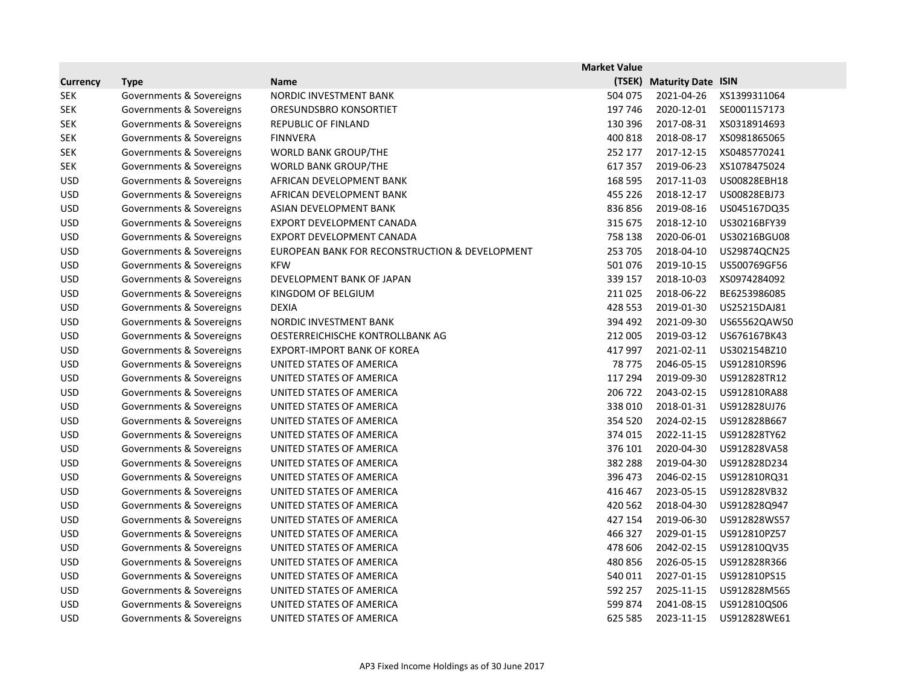|                 |                          |                                                | <b>Market Value</b> |                           |              |
|-----------------|--------------------------|------------------------------------------------|---------------------|---------------------------|--------------|
| <b>Currency</b> | <b>Type</b>              | <b>Name</b>                                    | (TSEK)              | <b>Maturity Date ISIN</b> |              |
| <b>SEK</b>      | Governments & Sovereigns | NORDIC INVESTMENT BANK                         | 504 075             | 2021-04-26                | XS1399311064 |
| <b>SEK</b>      | Governments & Sovereigns | ORESUNDSBRO KONSORTIET                         | 197 746             | 2020-12-01                | SE0001157173 |
| <b>SEK</b>      | Governments & Sovereigns | <b>REPUBLIC OF FINLAND</b>                     | 130 396             | 2017-08-31                | XS0318914693 |
| <b>SEK</b>      | Governments & Sovereigns | <b>FINNVERA</b>                                | 400 818             | 2018-08-17                | XS0981865065 |
| <b>SEK</b>      | Governments & Sovereigns | <b>WORLD BANK GROUP/THE</b>                    | 252 177             | 2017-12-15                | XS0485770241 |
| <b>SEK</b>      | Governments & Sovereigns | <b>WORLD BANK GROUP/THE</b>                    | 617 357             | 2019-06-23                | XS1078475024 |
| <b>USD</b>      | Governments & Sovereigns | AFRICAN DEVELOPMENT BANK                       | 168 595             | 2017-11-03                | US00828EBH18 |
| <b>USD</b>      | Governments & Sovereigns | AFRICAN DEVELOPMENT BANK                       | 455 226             | 2018-12-17                | US00828EBJ73 |
| <b>USD</b>      | Governments & Sovereigns | ASIAN DEVELOPMENT BANK                         | 836856              | 2019-08-16                | US045167DQ35 |
| <b>USD</b>      | Governments & Sovereigns | EXPORT DEVELOPMENT CANADA                      | 315 675             | 2018-12-10                | US30216BFY39 |
| <b>USD</b>      | Governments & Sovereigns | EXPORT DEVELOPMENT CANADA                      | 758 138             | 2020-06-01                | US30216BGU08 |
| <b>USD</b>      | Governments & Sovereigns | EUROPEAN BANK FOR RECONSTRUCTION & DEVELOPMENT | 253 705             | 2018-04-10                | US29874QCN25 |
| <b>USD</b>      | Governments & Sovereigns | <b>KFW</b>                                     | 501 076             | 2019-10-15                | US500769GF56 |
| <b>USD</b>      | Governments & Sovereigns | DEVELOPMENT BANK OF JAPAN                      | 339 157             | 2018-10-03                | XS0974284092 |
| <b>USD</b>      | Governments & Sovereigns | KINGDOM OF BELGIUM                             | 211025              | 2018-06-22                | BE6253986085 |
| <b>USD</b>      | Governments & Sovereigns | <b>DEXIA</b>                                   | 428 553             | 2019-01-30                | US25215DAJ81 |
| <b>USD</b>      | Governments & Sovereigns | NORDIC INVESTMENT BANK                         | 394 492             | 2021-09-30                | US65562QAW50 |
| <b>USD</b>      | Governments & Sovereigns | OESTERREICHISCHE KONTROLLBANK AG               | 212 005             | 2019-03-12                | US676167BK43 |
| <b>USD</b>      | Governments & Sovereigns | <b>EXPORT-IMPORT BANK OF KOREA</b>             | 417 997             | 2021-02-11                | US302154BZ10 |
| <b>USD</b>      | Governments & Sovereigns | UNITED STATES OF AMERICA                       | 78 775              | 2046-05-15                | US912810RS96 |
| <b>USD</b>      | Governments & Sovereigns | UNITED STATES OF AMERICA                       | 117 294             | 2019-09-30                | US912828TR12 |
| <b>USD</b>      | Governments & Sovereigns | UNITED STATES OF AMERICA                       | 206 722             | 2043-02-15                | US912810RA88 |
| <b>USD</b>      | Governments & Sovereigns | UNITED STATES OF AMERICA                       | 338 010             | 2018-01-31                | US912828UJ76 |
| <b>USD</b>      | Governments & Sovereigns | UNITED STATES OF AMERICA                       | 354 520             | 2024-02-15                | US912828B667 |
| <b>USD</b>      | Governments & Sovereigns | UNITED STATES OF AMERICA                       | 374 015             | 2022-11-15                | US912828TY62 |
| <b>USD</b>      | Governments & Sovereigns | UNITED STATES OF AMERICA                       | 376 101             | 2020-04-30                | US912828VA58 |
| <b>USD</b>      | Governments & Sovereigns | UNITED STATES OF AMERICA                       | 382 288             | 2019-04-30                | US912828D234 |
| <b>USD</b>      | Governments & Sovereigns | UNITED STATES OF AMERICA                       | 396 473             | 2046-02-15                | US912810RQ31 |
| <b>USD</b>      | Governments & Sovereigns | UNITED STATES OF AMERICA                       | 416 467             | 2023-05-15                | US912828VB32 |
| <b>USD</b>      | Governments & Sovereigns | UNITED STATES OF AMERICA                       | 420 562             |                           |              |
| <b>USD</b>      | Governments & Sovereigns | UNITED STATES OF AMERICA                       | 427 154             | 2019-06-30                | US912828WS57 |
| <b>USD</b>      | Governments & Sovereigns | UNITED STATES OF AMERICA                       | 466 327             | 2029-01-15                | US912810PZ57 |
| <b>USD</b>      | Governments & Sovereigns | UNITED STATES OF AMERICA                       | 478 606             | 2042-02-15                | US912810QV35 |
| <b>USD</b>      | Governments & Sovereigns | UNITED STATES OF AMERICA                       | 480 856             | 2026-05-15                | US912828R366 |
| <b>USD</b>      | Governments & Sovereigns | UNITED STATES OF AMERICA                       | 540 011             | 2027-01-15                | US912810PS15 |
| <b>USD</b>      | Governments & Sovereigns | UNITED STATES OF AMERICA                       | 592 257             | 2025-11-15                | US912828M565 |
| <b>USD</b>      | Governments & Sovereigns | UNITED STATES OF AMERICA                       | 599 874             | 2041-08-15                | US912810QS06 |
| <b>USD</b>      | Governments & Sovereigns | UNITED STATES OF AMERICA                       | 625 585             | 2023-11-15                | US912828WE61 |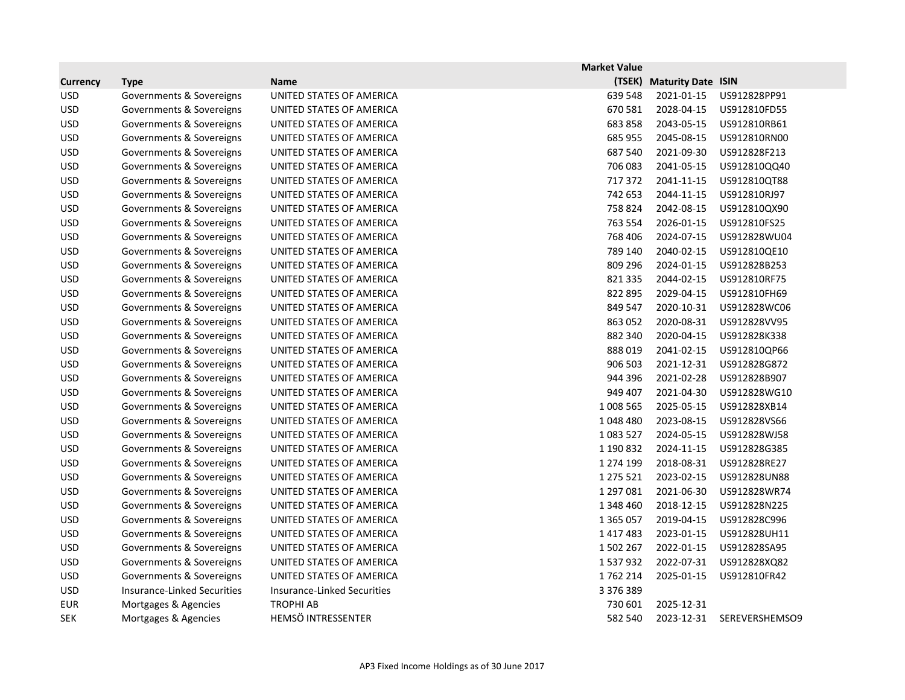|                 |                                    |                                    | <b>Market Value</b> |                           |                |
|-----------------|------------------------------------|------------------------------------|---------------------|---------------------------|----------------|
| <b>Currency</b> | <b>Type</b>                        | <b>Name</b>                        | (TSEK)              | <b>Maturity Date ISIN</b> |                |
| <b>USD</b>      | Governments & Sovereigns           | UNITED STATES OF AMERICA           | 639 548             | 2021-01-15                | US912828PP91   |
| <b>USD</b>      | Governments & Sovereigns           | UNITED STATES OF AMERICA           | 670 581             | 2028-04-15                | US912810FD55   |
| <b>USD</b>      | Governments & Sovereigns           | UNITED STATES OF AMERICA           | 683858              | 2043-05-15                | US912810RB61   |
| <b>USD</b>      | Governments & Sovereigns           | UNITED STATES OF AMERICA           | 685 955             | 2045-08-15                | US912810RN00   |
| <b>USD</b>      | Governments & Sovereigns           | UNITED STATES OF AMERICA           | 687 540             | 2021-09-30                | US912828F213   |
| <b>USD</b>      | Governments & Sovereigns           | UNITED STATES OF AMERICA           | 706 083             | 2041-05-15                | US912810QQ40   |
| <b>USD</b>      | Governments & Sovereigns           | UNITED STATES OF AMERICA           | 717372              | 2041-11-15                | US912810QT88   |
| <b>USD</b>      | Governments & Sovereigns           | UNITED STATES OF AMERICA           | 742 653             | 2044-11-15                | US912810RJ97   |
| <b>USD</b>      | Governments & Sovereigns           | UNITED STATES OF AMERICA           | 758 824             | 2042-08-15                | US912810QX90   |
| <b>USD</b>      | Governments & Sovereigns           | UNITED STATES OF AMERICA           | 763 554             | 2026-01-15                | US912810FS25   |
| <b>USD</b>      | Governments & Sovereigns           | UNITED STATES OF AMERICA           | 768 406             | 2024-07-15                | US912828WU04   |
| <b>USD</b>      | Governments & Sovereigns           | UNITED STATES OF AMERICA           | 789 140             | 2040-02-15                | US912810QE10   |
| <b>USD</b>      | Governments & Sovereigns           | UNITED STATES OF AMERICA           | 809 296             | 2024-01-15                | US912828B253   |
| <b>USD</b>      | Governments & Sovereigns           | UNITED STATES OF AMERICA           | 821 335             | 2044-02-15                | US912810RF75   |
| <b>USD</b>      | Governments & Sovereigns           | UNITED STATES OF AMERICA           | 822 895             | 2029-04-15                | US912810FH69   |
| <b>USD</b>      | Governments & Sovereigns           | UNITED STATES OF AMERICA           | 849 547             | 2020-10-31                | US912828WC06   |
| <b>USD</b>      | Governments & Sovereigns           | UNITED STATES OF AMERICA           | 863 052             | 2020-08-31                | US912828VV95   |
| <b>USD</b>      | Governments & Sovereigns           | UNITED STATES OF AMERICA           | 882 340             | 2020-04-15                | US912828K338   |
| <b>USD</b>      | Governments & Sovereigns           | UNITED STATES OF AMERICA           | 888019              | 2041-02-15                | US912810QP66   |
| <b>USD</b>      | Governments & Sovereigns           | UNITED STATES OF AMERICA           | 906 503             | 2021-12-31                | US912828G872   |
| <b>USD</b>      | Governments & Sovereigns           | UNITED STATES OF AMERICA           | 944 396             | 2021-02-28                | US912828B907   |
| <b>USD</b>      | Governments & Sovereigns           | UNITED STATES OF AMERICA           | 949 407             | 2021-04-30                | US912828WG10   |
| <b>USD</b>      | Governments & Sovereigns           | UNITED STATES OF AMERICA           | 1008 565            | 2025-05-15                | US912828XB14   |
| <b>USD</b>      | Governments & Sovereigns           | UNITED STATES OF AMERICA           | 1048480             | 2023-08-15                | US912828VS66   |
| <b>USD</b>      | Governments & Sovereigns           | UNITED STATES OF AMERICA           | 1083527             | 2024-05-15                | US912828WJ58   |
| <b>USD</b>      | Governments & Sovereigns           | UNITED STATES OF AMERICA           | 1 190 832           | 2024-11-15                | US912828G385   |
| <b>USD</b>      | Governments & Sovereigns           | UNITED STATES OF AMERICA           | 1 274 199           | 2018-08-31                | US912828RE27   |
| <b>USD</b>      | Governments & Sovereigns           | UNITED STATES OF AMERICA           | 1 275 521           | 2023-02-15                | US912828UN88   |
| <b>USD</b>      | Governments & Sovereigns           | UNITED STATES OF AMERICA           | 1 297 081           | 2021-06-30                | US912828WR74   |
| <b>USD</b>      | Governments & Sovereigns           | UNITED STATES OF AMERICA           |                     | 1 348 460 2018-12-15      | US912828N225   |
| <b>USD</b>      | Governments & Sovereigns           | UNITED STATES OF AMERICA           | 1 3 6 5 0 5 7       | 2019-04-15                | US912828C996   |
| <b>USD</b>      | Governments & Sovereigns           | UNITED STATES OF AMERICA           | 1417483             | 2023-01-15                | US912828UH11   |
| <b>USD</b>      | Governments & Sovereigns           | UNITED STATES OF AMERICA           | 1502267             | 2022-01-15                | US912828SA95   |
| <b>USD</b>      | Governments & Sovereigns           | UNITED STATES OF AMERICA           | 1537932             | 2022-07-31                | US912828XQ82   |
| <b>USD</b>      | Governments & Sovereigns           | UNITED STATES OF AMERICA           | 1762214             | 2025-01-15                | US912810FR42   |
| <b>USD</b>      | <b>Insurance-Linked Securities</b> | <b>Insurance-Linked Securities</b> | 3 376 389           |                           |                |
| <b>EUR</b>      | Mortgages & Agencies               | <b>TROPHI AB</b>                   | 730 601             | 2025-12-31                |                |
| <b>SEK</b>      | Mortgages & Agencies               | HEMSÖ INTRESSENTER                 | 582 540             | 2023-12-31                | SEREVERSHEMSO9 |